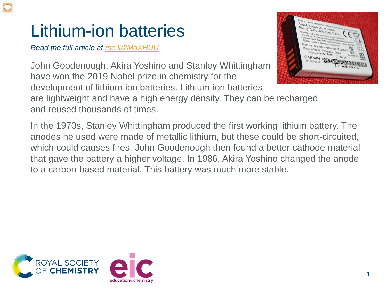## Lithium-ion batteries

*Read the full article at [rsc.li/2MqXHUU](https://rsc.li/2MqXHUU)*

John Goodenough, Akira Yoshino and Stanley Whittingham have won the 2019 Nobel prize in chemistry for the development of lithium-ion batteries. Lithium-ion batteries are lightweight and have a high energy density. They can be recharged and reused thousands of times.



In the 1970s, Stanley Whittingham produced the first working lithium battery. The anodes he used were made of metallic lithium, but these could be short-circuited, which could causes fires. John Goodenough then found a better cathode material that gave the battery a higher voltage. In 1986, Akira Yoshino changed the anode to a carbon-based material. This battery was much more stable.